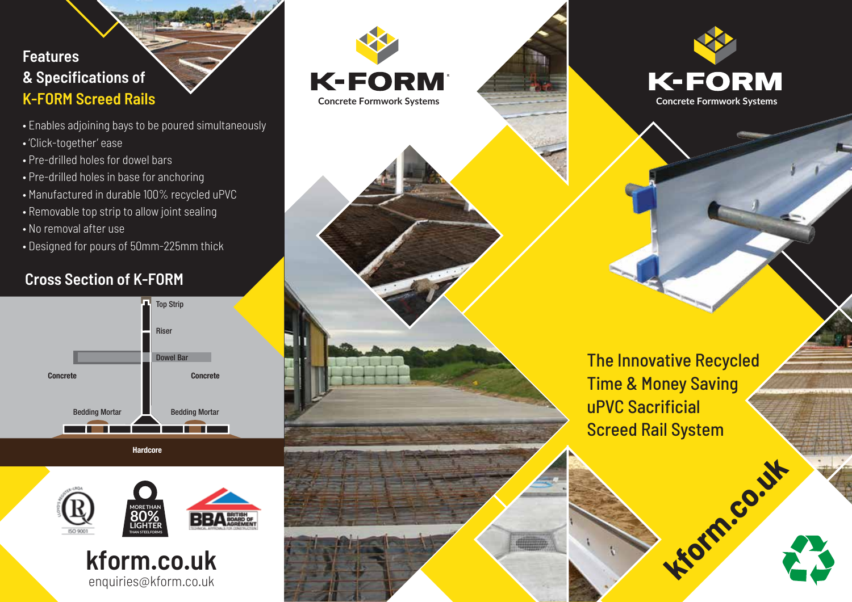## **Features & Specifications of K-FORM Screed Rails**

- Enables adjoining bays to be poured simultaneously
- 'Click-together' ease
- Pre-drilled holes for dowel bars
- Pre-drilled holes in base for anchoring
- Manufactured in durable 100% recycled uPVC
- Removable top strip to allow joint sealing
- No removal after use
- Designed for pours of 50mm-225mm thick

## **Cross Section of K-FORM**











The Innovative Recycled Time & Money Saving uPVC Sacrificial Screed Rail System

**Kiotm.co.uk**